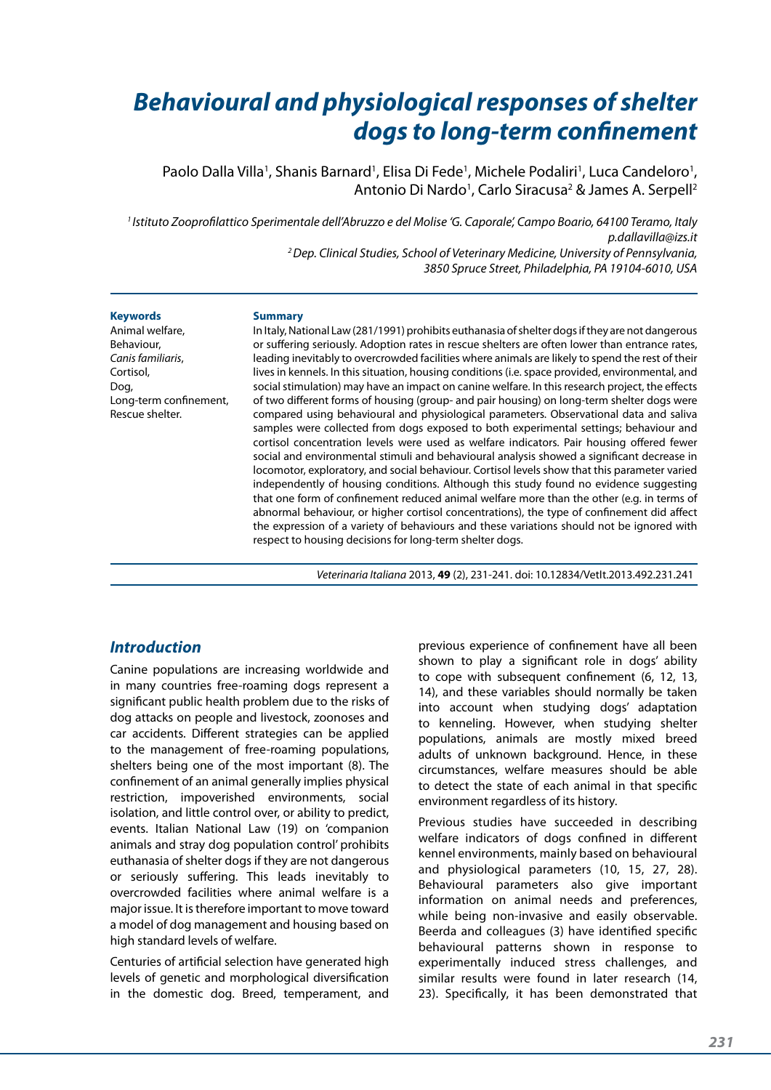# *Behavioural and physiological responses of shelter dogs to long-term confinement*

Paolo Dalla Villa<sup>1</sup>, Shanis Barnard<sup>1</sup>, Elisa Di Fede<sup>1</sup>, Michele Podaliri<sup>1</sup>, Luca Candeloro<sup>1</sup>, Antonio Di Nardo<sup>1</sup>, Carlo Siracusa<sup>2</sup> & James A. Serpell<sup>2</sup>

*1 Istituto Zooprofilattico Sperimentale dell'Abruzzo e del Molise 'G. Caporale', Campo Boario, 64100 Teramo, Italy p.dallavilla@izs.it 2 Dep. Clinical Studies, School of Veterinary Medicine, University of Pennsylvania, 3850 Spruce Street, Philadelphia, PA 19104-6010, USA*

#### **Keywords**

Animal welfare, Behaviour, *Canis familiaris*, Cortisol, Dog, Long-term confinement, Rescue shelter.

#### **Summary**

In Italy, National Law (281/1991) prohibits euthanasia of shelter dogs if they are not dangerous or suffering seriously. Adoption rates in rescue shelters are often lower than entrance rates, leading inevitably to overcrowded facilities where animals are likely to spend the rest of their lives in kennels. In this situation, housing conditions (i.e. space provided, environmental, and social stimulation) may have an impact on canine welfare. In this research project, the effects of two different forms of housing (group- and pair housing) on long-term shelter dogs were compared using behavioural and physiological parameters. Observational data and saliva samples were collected from dogs exposed to both experimental settings; behaviour and cortisol concentration levels were used as welfare indicators. Pair housing offered fewer social and environmental stimuli and behavioural analysis showed a significant decrease in locomotor, exploratory, and social behaviour. Cortisol levels show that this parameter varied independently of housing conditions. Although this study found no evidence suggesting that one form of confinement reduced animal welfare more than the other (e.g. in terms of abnormal behaviour, or higher cortisol concentrations), the type of confinement did affect the expression of a variety of behaviours and these variations should not be ignored with respect to housing decisions for long-term shelter dogs.

*Veterinaria Italiana* 2013, **49** (2), 231-241. doi: 10.12834/VetIt.2013.492.231.241

## *Introduction*

Canine populations are increasing worldwide and in many countries free-roaming dogs represent a significant public health problem due to the risks of dog attacks on people and livestock, zoonoses and car accidents. Different strategies can be applied to the management of free-roaming populations, shelters being one of the most important (8). The confinement of an animal generally implies physical restriction, impoverished environments, social isolation, and little control over, or ability to predict, events. Italian National Law (19) on 'companion animals and stray dog population control' prohibits euthanasia of shelter dogs if they are not dangerous or seriously suffering. This leads inevitably to overcrowded facilities where animal welfare is a major issue. It is therefore important to move toward a model of dog management and housing based on high standard levels of welfare.

Centuries of artificial selection have generated high levels of genetic and morphological diversification in the domestic dog. Breed, temperament, and

previous experience of confinement have all been shown to play a significant role in dogs' ability to cope with subsequent confinement (6, 12, 13, 14), and these variables should normally be taken into account when studying dogs' adaptation to kenneling. However, when studying shelter populations, animals are mostly mixed breed adults of unknown background. Hence, in these circumstances, welfare measures should be able to detect the state of each animal in that specific environment regardless of its history.

Previous studies have succeeded in describing welfare indicators of dogs confined in different kennel environments, mainly based on behavioural and physiological parameters (10, 15, 27, 28). Behavioural parameters also give important information on animal needs and preferences, while being non-invasive and easily observable. Beerda and colleagues (3) have identified specific behavioural patterns shown in response to experimentally induced stress challenges, and similar results were found in later research (14, 23). Specifically, it has been demonstrated that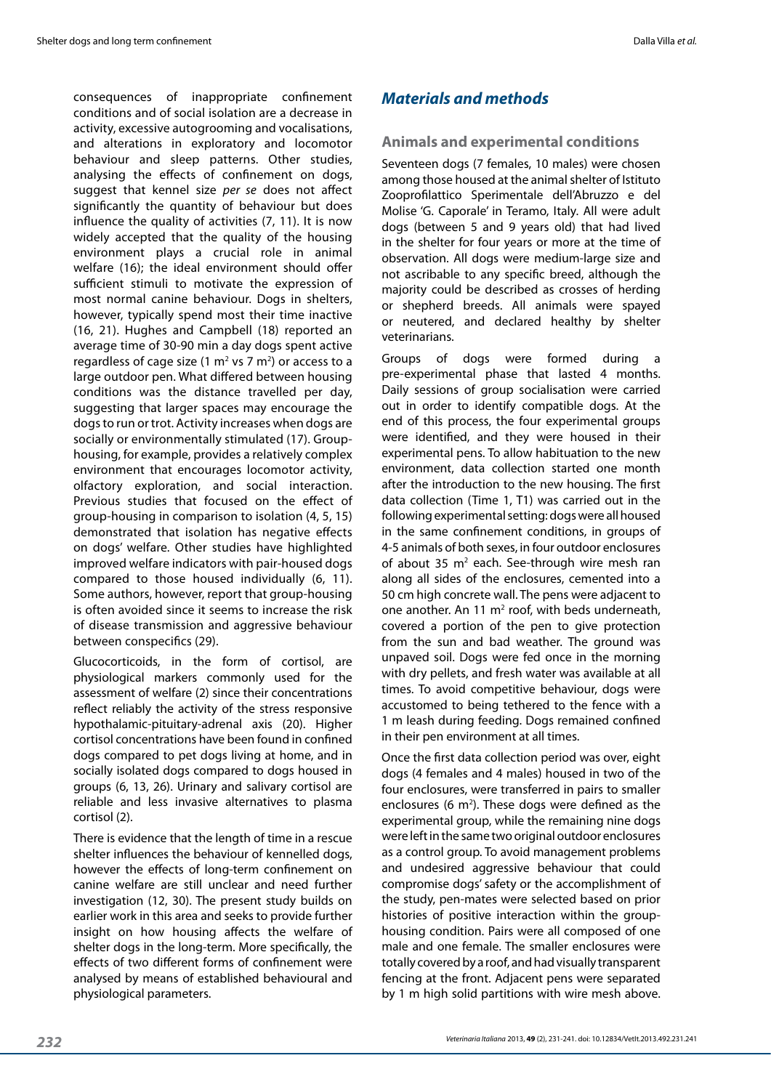consequences of inappropriate confinement conditions and of social isolation are a decrease in activity, excessive autogrooming and vocalisations, and alterations in exploratory and locomotor behaviour and sleep patterns. Other studies, analysing the effects of confinement on dogs, suggest that kennel size *per se* does not affect significantly the quantity of behaviour but does influence the quality of activities (7, 11). It is now widely accepted that the quality of the housing environment plays a crucial role in animal welfare (16); the ideal environment should offer sufficient stimuli to motivate the expression of most normal canine behaviour. Dogs in shelters, however, typically spend most their time inactive (16, 21). Hughes and Campbell (18) reported an average time of 30-90 min a day dogs spent active regardless of cage size (1  $\text{m}^2$  vs 7  $\text{m}^2$ ) or access to a large outdoor pen. What differed between housing conditions was the distance travelled per day, suggesting that larger spaces may encourage the dogs to run or trot. Activity increases when dogs are socially or environmentally stimulated (17). Grouphousing, for example, provides a relatively complex environment that encourages locomotor activity, olfactory exploration, and social interaction. Previous studies that focused on the effect of group-housing in comparison to isolation (4, 5, 15) demonstrated that isolation has negative effects on dogs' welfare. Other studies have highlighted improved welfare indicators with pair-housed dogs compared to those housed individually (6, 11). Some authors, however, report that group-housing is often avoided since it seems to increase the risk of disease transmission and aggressive behaviour between conspecifics (29).

Glucocorticoids, in the form of cortisol, are physiological markers commonly used for the assessment of welfare (2) since their concentrations reflect reliably the activity of the stress responsive hypothalamic-pituitary-adrenal axis (20). Higher cortisol concentrations have been found in confined dogs compared to pet dogs living at home, and in socially isolated dogs compared to dogs housed in groups (6, 13, 26). Urinary and salivary cortisol are reliable and less invasive alternatives to plasma cortisol (2).

There is evidence that the length of time in a rescue shelter influences the behaviour of kennelled dogs, however the effects of long-term confinement on canine welfare are still unclear and need further investigation (12, 30). The present study builds on earlier work in this area and seeks to provide further insight on how housing affects the welfare of shelter dogs in the long-term. More specifically, the effects of two different forms of confinement were analysed by means of established behavioural and physiological parameters.

# *Materials and methods*

## **Animals and experimental conditions**

Seventeen dogs (7 females, 10 males) were chosen among those housed at the animal shelter of Istituto Zooprofilattico Sperimentale dell'Abruzzo e del Molise 'G. Caporale' in Teramo, Italy. All were adult dogs (between 5 and 9 years old) that had lived in the shelter for four years or more at the time of observation. All dogs were medium-large size and not ascribable to any specific breed, although the majority could be described as crosses of herding or shepherd breeds. All animals were spayed or neutered, and declared healthy by shelter veterinarians.

Groups of dogs were formed during a pre-experimental phase that lasted 4 months. Daily sessions of group socialisation were carried out in order to identify compatible dogs. At the end of this process, the four experimental groups were identified, and they were housed in their experimental pens. To allow habituation to the new environment, data collection started one month after the introduction to the new housing. The first data collection (Time 1, T1) was carried out in the following experimental setting: dogs were all housed in the same confinement conditions, in groups of 4-5 animals of both sexes, in four outdoor enclosures of about 35  $m^2$  each. See-through wire mesh ran along all sides of the enclosures, cemented into a 50 cm high concrete wall. The pens were adjacent to one another. An 11  $m<sup>2</sup>$  roof, with beds underneath, covered a portion of the pen to give protection from the sun and bad weather. The ground was unpaved soil. Dogs were fed once in the morning with dry pellets, and fresh water was available at all times. To avoid competitive behaviour, dogs were accustomed to being tethered to the fence with a 1 m leash during feeding. Dogs remained confined in their pen environment at all times.

Once the first data collection period was over, eight dogs (4 females and 4 males) housed in two of the four enclosures, were transferred in pairs to smaller enclosures (6  $m<sup>2</sup>$ ). These dogs were defined as the experimental group, while the remaining nine dogs were left in the same two original outdoor enclosures as a control group. To avoid management problems and undesired aggressive behaviour that could compromise dogs' safety or the accomplishment of the study, pen-mates were selected based on prior histories of positive interaction within the grouphousing condition. Pairs were all composed of one male and one female. The smaller enclosures were totally covered by a roof, and had visually transparent fencing at the front. Adjacent pens were separated by 1 m high solid partitions with wire mesh above.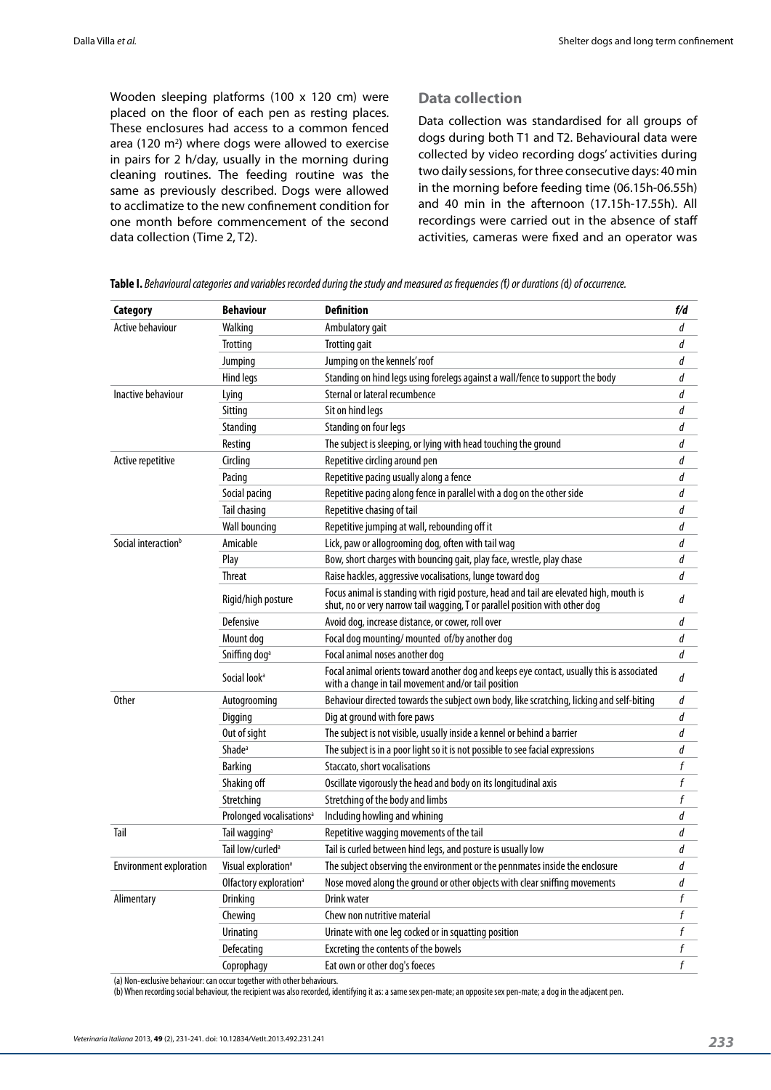Wooden sleeping platforms (100 x 120 cm) were placed on the floor of each pen as resting places. These enclosures had access to a common fenced area (120 m<sup>2</sup>) where dogs were allowed to exercise in pairs for 2 h/day, usually in the morning during cleaning routines. The feeding routine was the same as previously described. Dogs were allowed to acclimatize to the new confinement condition for one month before commencement of the second data collection (Time 2, T2).

#### **Data collection**

Data collection was standardised for all groups of dogs during both T1 and T2. Behavioural data were collected by video recording dogs' activities during two daily sessions, for three consecutive days: 40 min in the morning before feeding time (06.15h-06.55h) and 40 min in the afternoon (17.15h-17.55h). All recordings were carried out in the absence of staff activities, cameras were fixed and an operator was

| Category                        | <b>Behaviour</b>                     | <b>Definition</b>                                                                                                                                                     | f/d              |
|---------------------------------|--------------------------------------|-----------------------------------------------------------------------------------------------------------------------------------------------------------------------|------------------|
| <b>Active behaviour</b>         | Walking                              | Ambulatory gait                                                                                                                                                       | d                |
|                                 | <b>Trotting</b>                      | <b>Trotting gait</b>                                                                                                                                                  | d                |
|                                 | Jumping                              | Jumping on the kennels' roof                                                                                                                                          | d                |
|                                 | Hind legs                            | Standing on hind legs using forelegs against a wall/fence to support the body                                                                                         | d                |
| Inactive behaviour              | Lying                                | Sternal or lateral recumbence                                                                                                                                         | d                |
|                                 | Sitting                              | Sit on hind legs                                                                                                                                                      | d                |
|                                 | Standing                             | Standing on four legs                                                                                                                                                 | d                |
|                                 | Resting                              | The subject is sleeping, or lying with head touching the ground                                                                                                       | d                |
| Active repetitive               | Circling                             | Repetitive circling around pen                                                                                                                                        |                  |
|                                 | Pacing                               | Repetitive pacing usually along a fence                                                                                                                               | d                |
|                                 | Social pacing                        | Repetitive pacing along fence in parallel with a dog on the other side                                                                                                | d                |
|                                 | Tail chasing                         | Repetitive chasing of tail                                                                                                                                            | d                |
|                                 | <b>Wall bouncing</b>                 | Repetitive jumping at wall, rebounding off it                                                                                                                         | d                |
| Social interaction <sup>b</sup> | Amicable                             | Lick, paw or allogrooming dog, often with tail wag                                                                                                                    | d                |
|                                 | Play                                 | Bow, short charges with bouncing gait, play face, wrestle, play chase                                                                                                 | d                |
|                                 | <b>Threat</b>                        | Raise hackles, aggressive vocalisations, lunge toward dog                                                                                                             | $\overline{d}$   |
|                                 | Rigid/high posture                   | Focus animal is standing with rigid posture, head and tail are elevated high, mouth is<br>shut, no or very narrow tail wagging, T or parallel position with other dog |                  |
|                                 | Defensive                            | Avoid dog, increase distance, or cower, roll over                                                                                                                     | d                |
|                                 | Mount dog                            | Focal dog mounting/mounted of/by another dog                                                                                                                          | d                |
|                                 | Sniffing dog <sup>a</sup>            | Focal animal noses another dog                                                                                                                                        | d                |
|                                 | Social look <sup>a</sup>             | Focal animal orients toward another dog and keeps eye contact, usually this is associated<br>with a change in tail movement and/or tail position                      | d                |
| <b>Other</b>                    | Autogrooming                         | Behaviour directed towards the subject own body, like scratching, licking and self-biting                                                                             | d                |
|                                 | Digging                              | Dig at ground with fore paws                                                                                                                                          | d                |
|                                 | Out of sight                         | The subject is not visible, usually inside a kennel or behind a barrier                                                                                               | d                |
|                                 | Shade <sup>a</sup>                   | The subject is in a poor light so it is not possible to see facial expressions                                                                                        | d                |
|                                 | <b>Barking</b>                       | Staccato, short vocalisations                                                                                                                                         | f                |
|                                 | Shaking off                          | Oscillate vigorously the head and body on its longitudinal axis                                                                                                       | f                |
|                                 | Stretching                           | Stretching of the body and limbs                                                                                                                                      | f                |
|                                 | Prolonged vocalisations <sup>a</sup> | Including howling and whining                                                                                                                                         | d                |
| Tail                            | Tail wagging <sup>a</sup>            | Repetitive wagging movements of the tail                                                                                                                              | d                |
|                                 | Tail low/curled <sup>a</sup>         | Tail is curled between hind legs, and posture is usually low                                                                                                          | d                |
| <b>Environment exploration</b>  | Visual exploration <sup>a</sup>      | The subject observing the environment or the pennmates inside the enclosure                                                                                           | d                |
|                                 | Olfactory exploration <sup>a</sup>   | Nose moved along the ground or other objects with clear sniffing movements                                                                                            | d                |
| Alimentary                      | Drinking                             | Drink water                                                                                                                                                           | f                |
|                                 | Chewing                              | Chew non nutritive material                                                                                                                                           | f                |
|                                 | Urinating                            | Urinate with one leg cocked or in squatting position                                                                                                                  | $\boldsymbol{f}$ |
|                                 | Defecating                           | Excreting the contents of the bowels                                                                                                                                  | $\boldsymbol{f}$ |
|                                 | Coprophagy                           | Eat own or other dog's foeces                                                                                                                                         | $\mathbf f$      |

**Table I.** *Behavioural categories and variables recorded during the study and measured as frequencies (*f*) or durations (*d*) of occurrence.*

(a) Non-exclusive behaviour: can occur together with other behaviours.

(b) When recording social behaviour, the recipient was also recorded, identifying it as: a same sex pen-mate; an opposite sex pen-mate; a dog in the adjacent pen.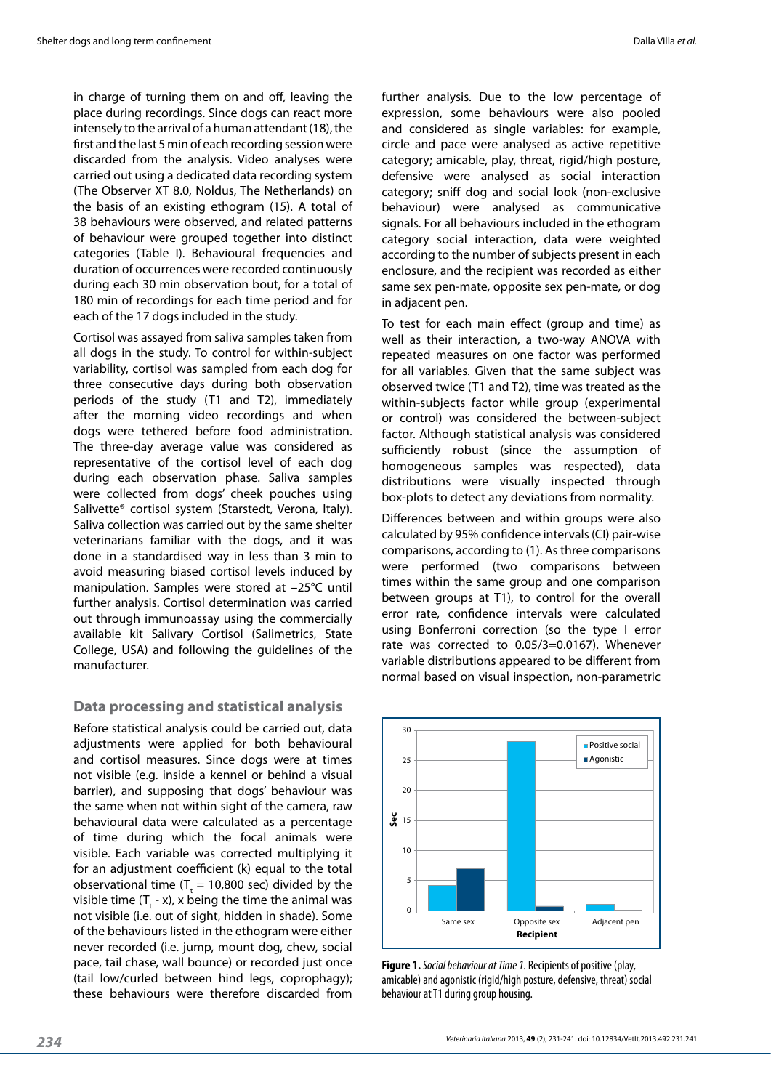in charge of turning them on and off, leaving the place during recordings. Since dogs can react more intensely to the arrival of a human attendant (18), the first and the last 5 min of each recording session were discarded from the analysis. Video analyses were carried out using a dedicated data recording system (The Observer XT 8.0, Noldus, The Netherlands) on the basis of an existing ethogram (15). A total of 38 behaviours were observed, and related patterns of behaviour were grouped together into distinct categories (Table I). Behavioural frequencies and duration of occurrences were recorded continuously during each 30 min observation bout, for a total of 180 min of recordings for each time period and for each of the 17 dogs included in the study.

Cortisol was assayed from saliva samples taken from all dogs in the study. To control for within-subject variability, cortisol was sampled from each dog for three consecutive days during both observation periods of the study (T1 and T2), immediately after the morning video recordings and when dogs were tethered before food administration. The three-day average value was considered as representative of the cortisol level of each dog during each observation phase. Saliva samples were collected from dogs' cheek pouches using Salivette® cortisol system (Starstedt, Verona, Italy). Saliva collection was carried out by the same shelter veterinarians familiar with the dogs, and it was done in a standardised way in less than 3 min to avoid measuring biased cortisol levels induced by manipulation. Samples were stored at –25°C until further analysis. Cortisol determination was carried out through immunoassay using the commercially available kit Salivary Cortisol (Salimetrics, State College, USA) and following the guidelines of the manufacturer.

#### **Data processing and statistical analysis**

Before statistical analysis could be carried out, data adjustments were applied for both behavioural and cortisol measures. Since dogs were at times not visible (e.g. inside a kennel or behind a visual barrier), and supposing that dogs' behaviour was the same when not within sight of the camera, raw behavioural data were calculated as a percentage of time during which the focal animals were visible. Each variable was corrected multiplying it for an adjustment coefficient (k) equal to the total observational time ( $T_t = 10,800$  sec) divided by the visible time  $(T_{t}$  - x), x being the time the animal was not visible (i.e. out of sight, hidden in shade). Some of the behaviours listed in the ethogram were either never recorded (i.e. jump, mount dog, chew, social pace, tail chase, wall bounce) or recorded just once (tail low/curled between hind legs, coprophagy); these behaviours were therefore discarded from

further analysis. Due to the low percentage of expression, some behaviours were also pooled and considered as single variables: for example, circle and pace were analysed as active repetitive category; amicable, play, threat, rigid/high posture, defensive were analysed as social interaction category; sniff dog and social look (non-exclusive behaviour) were analysed as communicative signals. For all behaviours included in the ethogram category social interaction, data were weighted according to the number of subjects present in each enclosure, and the recipient was recorded as either same sex pen-mate, opposite sex pen-mate, or dog in adjacent pen.

To test for each main effect (group and time) as well as their interaction, a two-way ANOVA with repeated measures on one factor was performed for all variables. Given that the same subject was observed twice (T1 and T2), time was treated as the within-subjects factor while group (experimental or control) was considered the between-subject factor. Although statistical analysis was considered sufficiently robust (since the assumption of homogeneous samples was respected), data distributions were visually inspected through box-plots to detect any deviations from normality.

Differences between and within groups were also calculated by 95% confidence intervals (CI) pair-wise comparisons, according to (1). As three comparisons were performed (two comparisons between times within the same group and one comparison between groups at T1), to control for the overall error rate, confidence intervals were calculated using Bonferroni correction (so the type I error rate was corrected to 0.05/3=0.0167). Whenever variable distributions appeared to be different from normal based on visual inspection, non-parametric



**Figure 1.** *Social behaviour at Time 1.* Recipients of positive (play, amicable) and agonistic (rigid/high posture, defensive, threat) social behaviour at T1 during group housing.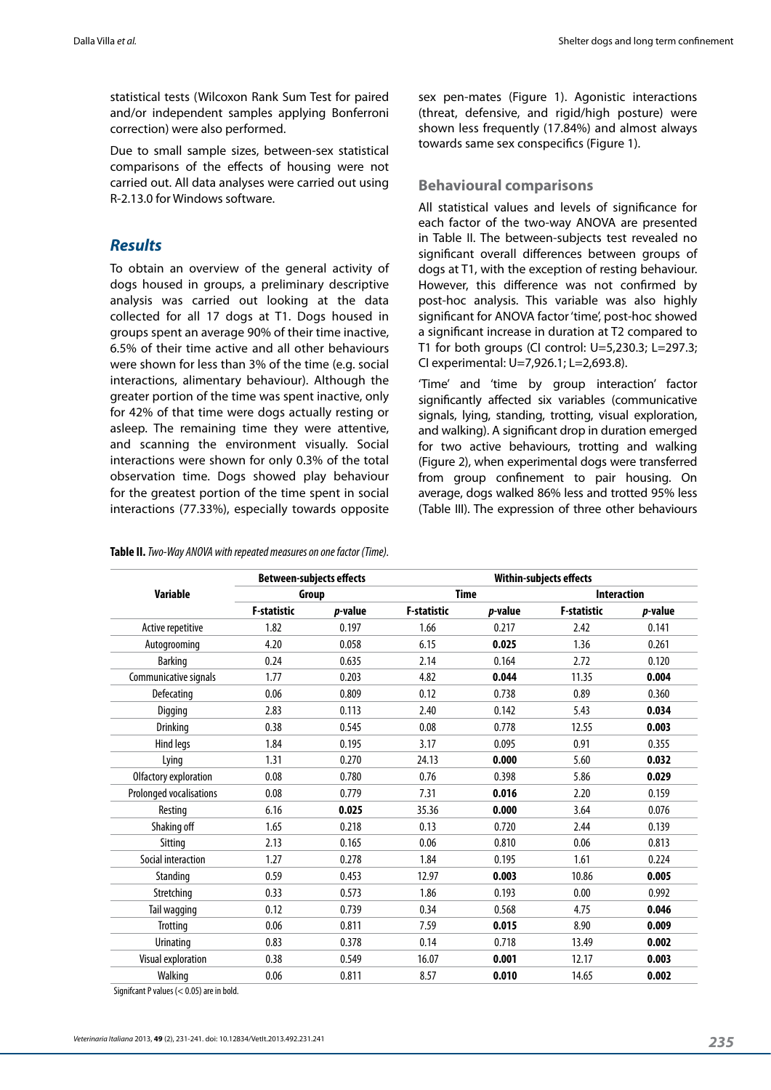statistical tests (Wilcoxon Rank Sum Test for paired and/or independent samples applying Bonferroni correction) were also performed.

Due to small sample sizes, between-sex statistical comparisons of the effects of housing were not carried out. All data analyses were carried out using R-2.13.0 for Windows software.

## *Results*

To obtain an overview of the general activity of dogs housed in groups, a preliminary descriptive analysis was carried out looking at the data collected for all 17 dogs at T1. Dogs housed in groups spent an average 90% of their time inactive, 6.5% of their time active and all other behaviours were shown for less than 3% of the time (e.g. social interactions, alimentary behaviour). Although the greater portion of the time was spent inactive, only for 42% of that time were dogs actually resting or asleep. The remaining time they were attentive, and scanning the environment visually. Social interactions were shown for only 0.3% of the total observation time. Dogs showed play behaviour for the greatest portion of the time spent in social interactions (77.33%), especially towards opposite

**Table II.** *Two-Way ANOVA with repeated measures on one factor (Time).*

sex pen-mates (Figure 1). Agonistic interactions (threat, defensive, and rigid/high posture) were shown less frequently (17.84%) and almost always towards same sex conspecifics (Figure 1).

#### **Behavioural comparisons**

All statistical values and levels of significance for each factor of the two-way ANOVA are presented in Table II. The between-subjects test revealed no significant overall differences between groups of dogs at T1, with the exception of resting behaviour. However, this difference was not confirmed by post-hoc analysis. This variable was also highly significant for ANOVA factor 'time', post-hoc showed a significant increase in duration at T2 compared to T1 for both groups (CI control: U=5,230.3; L=297.3; CI experimental: U=7,926.1; L=2,693.8).

'Time' and 'time by group interaction' factor significantly affected six variables (communicative signals, lying, standing, trotting, visual exploration, and walking). A significant drop in duration emerged for two active behaviours, trotting and walking (Figure 2), when experimental dogs were transferred from group confinement to pair housing. On average, dogs walked 86% less and trotted 95% less (Table III). The expression of three other behaviours

|                         | <b>Between-subjects effects</b><br>Group |         | <b>Within-subjects effects</b> |                 |                    |         |
|-------------------------|------------------------------------------|---------|--------------------------------|-----------------|--------------------|---------|
| <b>Variable</b>         |                                          |         | <b>Time</b>                    |                 | <b>Interaction</b> |         |
|                         | <b>F-statistic</b>                       | p-value | <b>F-statistic</b>             | <i>p</i> -value | <b>F-statistic</b> | p-value |
| Active repetitive       | 1.82                                     | 0.197   | 1.66                           | 0.217           | 2.42               | 0.141   |
| Autogrooming            | 4.20                                     | 0.058   | 6.15                           | 0.025           | 1.36               | 0.261   |
| <b>Barking</b>          | 0.24                                     | 0.635   | 2.14                           | 0.164           | 2.72               | 0.120   |
| Communicative signals   | 1.77                                     | 0.203   | 4.82                           | 0.044           | 11.35              | 0.004   |
| Defecating              | 0.06                                     | 0.809   | 0.12                           | 0.738           | 0.89               | 0.360   |
| Digging                 | 2.83                                     | 0.113   | 2.40                           | 0.142           | 5.43               | 0.034   |
| Drinking                | 0.38                                     | 0.545   | 0.08                           | 0.778           | 12.55              | 0.003   |
| Hind legs               | 1.84                                     | 0.195   | 3.17                           | 0.095           | 0.91               | 0.355   |
| Lying                   | 1.31                                     | 0.270   | 24.13                          | 0.000           | 5.60               | 0.032   |
| Olfactory exploration   | 0.08                                     | 0.780   | 0.76                           | 0.398           | 5.86               | 0.029   |
| Prolonged vocalisations | 0.08                                     | 0.779   | 7.31                           | 0.016           | 2.20               | 0.159   |
| Resting                 | 6.16                                     | 0.025   | 35.36                          | 0.000           | 3.64               | 0.076   |
| Shaking off             | 1.65                                     | 0.218   | 0.13                           | 0.720           | 2.44               | 0.139   |
| Sitting                 | 2.13                                     | 0.165   | 0.06                           | 0.810           | 0.06               | 0.813   |
| Social interaction      | 1.27                                     | 0.278   | 1.84                           | 0.195           | 1.61               | 0.224   |
| Standing                | 0.59                                     | 0.453   | 12.97                          | 0.003           | 10.86              | 0.005   |
| Stretching              | 0.33                                     | 0.573   | 1.86                           | 0.193           | 0.00               | 0.992   |
| Tail wagging            | 0.12                                     | 0.739   | 0.34                           | 0.568           | 4.75               | 0.046   |
| Trotting                | 0.06                                     | 0.811   | 7.59                           | 0.015           | 8.90               | 0.009   |
| Urinating               | 0.83                                     | 0.378   | 0.14                           | 0.718           | 13.49              | 0.002   |
| Visual exploration      | 0.38                                     | 0.549   | 16.07                          | 0.001           | 12.17              | 0.003   |
| Walking                 | 0.06                                     | 0.811   | 8.57                           | 0.010           | 14.65              | 0.002   |

Signifcant P values (< 0.05) are in bold.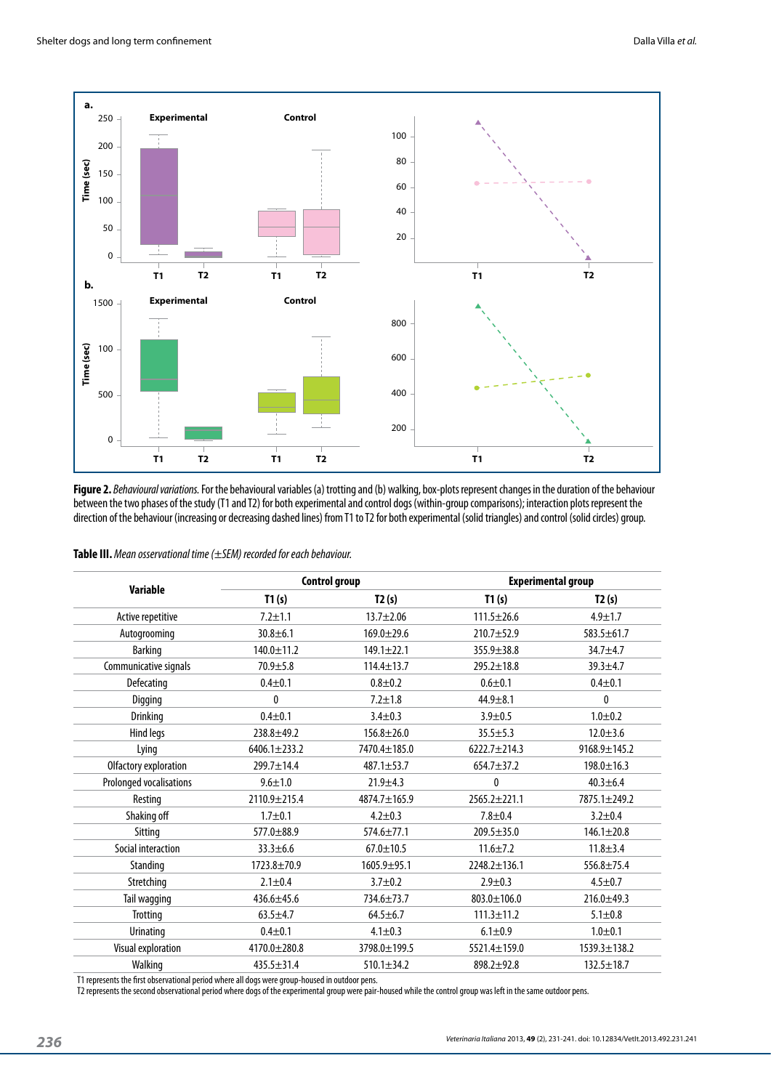

**Figure 2.** *Behavioural variations.* For the behavioural variables (a) trotting and (b) walking, box-plots represent changes in the duration of the behaviour between the two phases of the study (T1 and T2) for both experimental and control dogs (within-group comparisons); interaction plots represent the direction of the behaviour (increasing or decreasing dashed lines) from T1 to T2 for both experimental (solid triangles) and control (solid circles) group.

|  | Table III. Mean osservational time (±SEM) recorded for each behaviour. |
|--|------------------------------------------------------------------------|
|--|------------------------------------------------------------------------|

| <b>Variable</b>         |                    | <b>Control group</b> | <b>Experimental group</b> |                    |  |
|-------------------------|--------------------|----------------------|---------------------------|--------------------|--|
|                         | T1(s)              | T2(s)                | T1(s)                     | T2(s)              |  |
| Active repetitive       | $7.2 + 1.1$        | $13.7 + 2.06$        | $111.5 \pm 26.6$          | $4.9 + 1.7$        |  |
| Autogrooming            | $30.8 + 6.1$       | $169.0 + 29.6$       | $210.7 + 52.9$            | $583.5 \pm 61.7$   |  |
| <b>Barking</b>          | $140.0 \pm 11.2$   | $149.1 \pm 22.1$     | $355.9 \pm 38.8$          | $34.7 + 4.7$       |  |
| Communicative signals   | $70.9 + 5.8$       | $114.4 \pm 13.7$     | $295.2 \pm 18.8$          | $39.3 + 4.7$       |  |
| Defecating              | $0.4 + 0.1$        | $0.8 + 0.2$          | $0.6 + 0.1$               | $0.4 + 0.1$        |  |
| Digging                 | $\mathbf{0}$       | $7.2 \pm 1.8$        | $44.9 \pm 8.1$            | $\mathbf{0}$       |  |
| Drinking                | $0.4 + 0.1$        | $3.4 \pm 0.3$        | $3.9 + 0.5$               | $1.0 + 0.2$        |  |
| Hind legs               | $238.8 + 49.2$     | $156.8 \pm 26.0$     | $35.5 \pm 5.3$            | $12.0 \pm 3.6$     |  |
| Lying                   | $6406.1 \pm 233.2$ | 7470.4±185.0         | $6222.7 \pm 214.3$        | 9168.9±145.2       |  |
| Olfactory exploration   | $299.7 \pm 14.4$   | 487.1±53.7           | $654.7 + 37.2$            | $198.0 \pm 16.3$   |  |
| Prolonged vocalisations | $9.6 \pm 1.0$      | $21.9 \pm 4.3$       | $\mathbf{0}$              | $40.3 \pm 6.4$     |  |
| Resting                 | 2110.9 ± 215.4     | $4874.7 \pm 165.9$   | $2565.2 \pm 221.1$        | $7875.1 + 249.2$   |  |
| Shaking off             | $1.7 + 0.1$        | $4.2 \pm 0.3$        | $7.8 + 0.4$               | $3.2 \pm 0.4$      |  |
| Sitting                 | $577.0 \pm 88.9$   | $574.6 \pm 77.1$     | $209.5 \pm 35.0$          | $146.1 \pm 20.8$   |  |
| Social interaction      | $33.3 \pm 6.6$     | $67.0 \pm 10.5$      | $11.6 \pm 7.2$            | $11.8 + 3.4$       |  |
| Standing                | 1723.8±70.9        | $1605.9 + 95.1$      | 2248.2±136.1              | $556.8 \pm 75.4$   |  |
| Stretching              | $2.1 \pm 0.4$      | $3.7 + 0.2$          | $2.9 + 0.3$               | $4.5 + 0.7$        |  |
| Tail wagging            | 436.6±45.6         | 734.6±73.7           | 803.0±106.0               | $216.0 + 49.3$     |  |
| Trotting                | $63.5 + 4.7$       | $64.5 \pm 6.7$       | $111.3 \pm 11.2$          | $5.1 \pm 0.8$      |  |
| <b>Urinating</b>        | $0.4 + 0.1$        | $4.1 \pm 0.3$        | $6.1 \pm 0.9$             | $1.0 + 0.1$        |  |
| Visual exploration      | $4170.0 \pm 280.8$ | 3798.0±199.5         | $5521.4 \pm 159.0$        | $1539.3 \pm 138.2$ |  |
| Walking                 | $435.5 \pm 31.4$   | $510.1 \pm 34.2$     | $898.2 + 92.8$            | $132.5 \pm 18.7$   |  |

T1 represents the first observational period where all dogs were group-housed in outdoor pens.

T2 represents the second observational period where dogs of the experimental group were pair-housed while the control group was left in the same outdoor pens.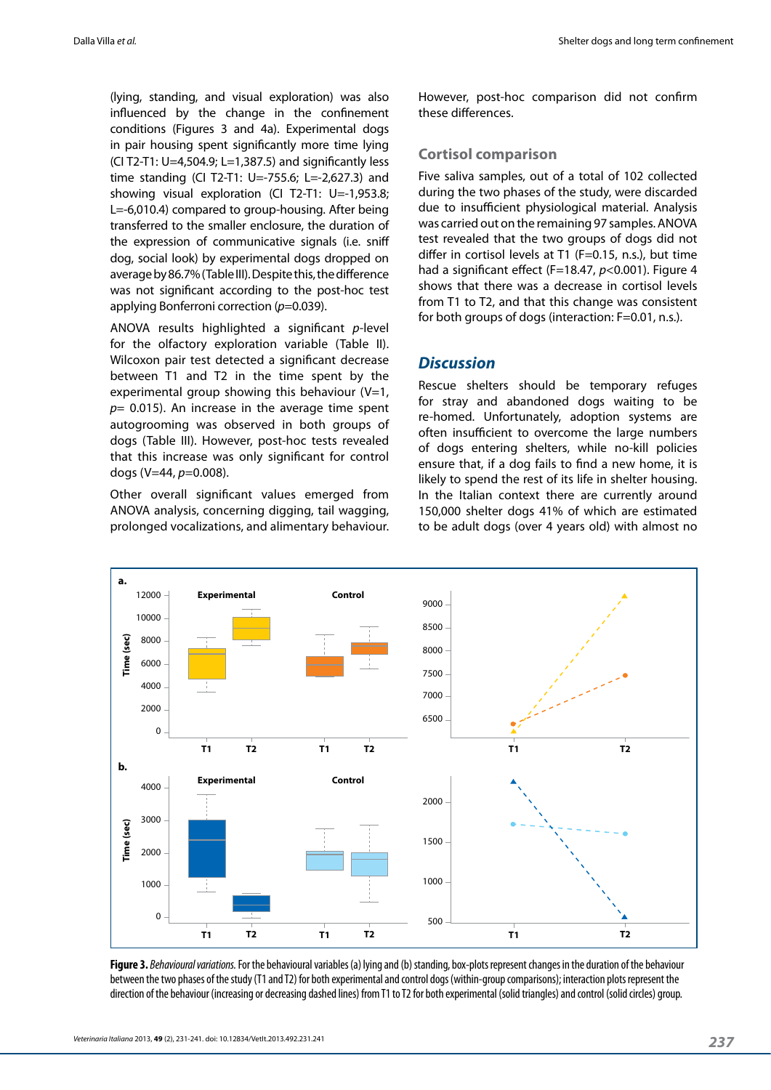(lying, standing, and visual exploration) was also influenced by the change in the confinement conditions (Figures 3 and 4a). Experimental dogs in pair housing spent significantly more time lying (CI T2-T1: U=4,504.9; L=1,387.5) and significantly less time standing (CI T2-T1: U=-755.6; L=-2,627.3) and showing visual exploration (CI T2-T1: U=-1,953.8; L=-6,010.4) compared to group-housing. After being transferred to the smaller enclosure, the duration of the expression of communicative signals (i.e. sniff dog, social look) by experimental dogs dropped on average by 86.7% (Table III). Despite this, the difference was not significant according to the post-hoc test applying Bonferroni correction (*p*=0.039).

ANOVA results highlighted a significant *p*-level for the olfactory exploration variable (Table II). Wilcoxon pair test detected a significant decrease between T1 and T2 in the time spent by the experimental group showing this behaviour  $(V=1,$ *p*= 0.015). An increase in the average time spent autogrooming was observed in both groups of dogs (Table III). However, post-hoc tests revealed that this increase was only significant for control dogs (V=44, *p*=0.008).

Other overall significant values emerged from ANOVA analysis, concerning digging, tail wagging, prolonged vocalizations, and alimentary behaviour. However, post-hoc comparison did not confirm these differences.

#### **Cortisol comparison**

Five saliva samples, out of a total of 102 collected during the two phases of the study, were discarded due to insufficient physiological material. Analysis was carried out on the remaining 97 samples. ANOVA test revealed that the two groups of dogs did not differ in cortisol levels at T1 (F=0.15, n.s.), but time had a significant effect (F=18.47, *p*<0.001). Figure 4 shows that there was a decrease in cortisol levels from T1 to T2, and that this change was consistent for both groups of dogs (interaction: F=0.01, n.s.).

## *Discussion*

Rescue shelters should be temporary refuges for stray and abandoned dogs waiting to be re-homed. Unfortunately, adoption systems are often insufficient to overcome the large numbers of dogs entering shelters, while no-kill policies ensure that, if a dog fails to find a new home, it is likely to spend the rest of its life in shelter housing. In the Italian context there are currently around 150,000 shelter dogs 41% of which are estimated to be adult dogs (over 4 years old) with almost no



**Figure 3.** *Behavioural variations.* For the behavioural variables (a) lying and (b) standing, box-plots represent changes in the duration of the behaviour between the two phases of the study (T1 and T2) for both experimental and control dogs (within-group comparisons); interaction plots represent the direction of the behaviour (increasing or decreasing dashed lines) from T1 to T2 for both experimental (solid triangles) and control (solid circles) group.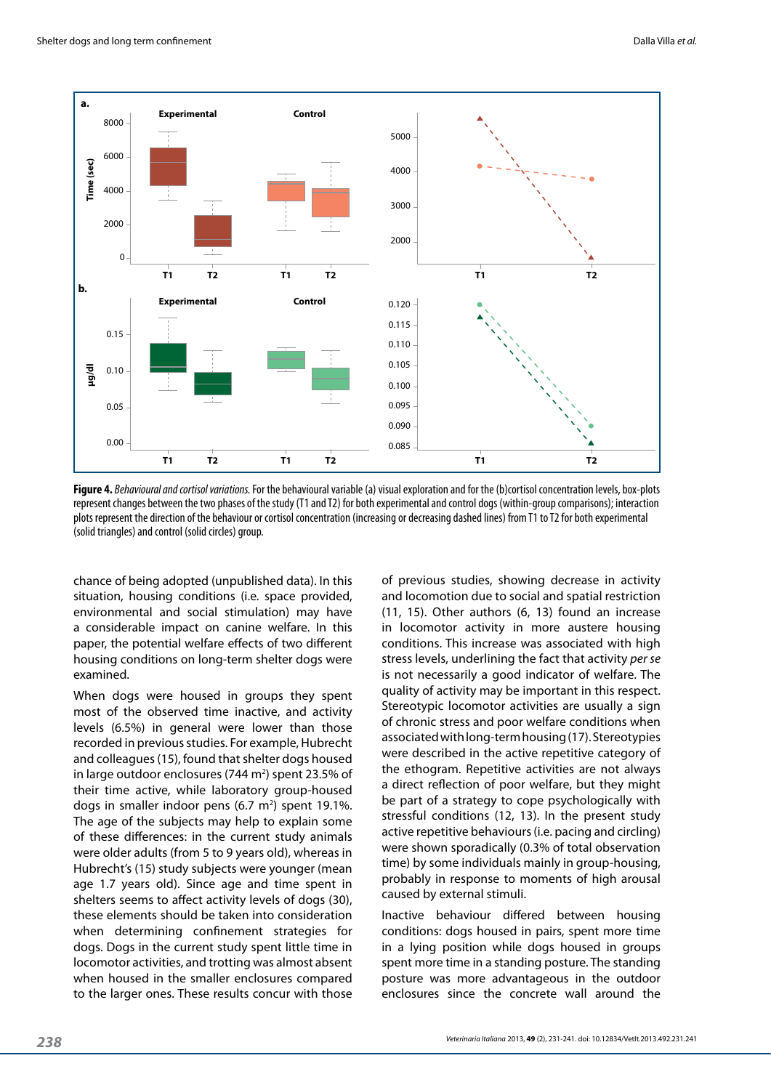

**Figure 4.** *Behavioural and cortisol variations.* For the behavioural variable (a) visual exploration and for the (b)cortisol concentration levels, box-plots represent changes between the two phases of the study (T1 and T2) for both experimental and control dogs (within-group comparisons); interaction plots represent the direction of the behaviour or cortisol concentration (increasing or decreasing dashed lines) from T1 to T2 for both experimental (solid triangles) and control (solid circles) group.

chance of being adopted (unpublished data). In this situation, housing conditions (i.e. space provided, environmental and social stimulation) may have a considerable impact on canine welfare. In this paper, the potential welfare effects of two different housing conditions on long-term shelter dogs were examined.

When dogs were housed in groups they spent most of the observed time inactive, and activity levels (6.5%) in general were lower than those recorded in previous studies. For example, Hubrecht and colleagues (15), found that shelter dogs housed in large outdoor enclosures (744 m<sup>2</sup>) spent 23.5% of their time active, while laboratory group-housed dogs in smaller indoor pens  $(6.7 \text{ m}^2)$  spent 19.1%. The age of the subjects may help to explain some of these differences: in the current study animals were older adults (from 5 to 9 years old), whereas in Hubrecht's (15) study subjects were younger (mean age 1.7 years old). Since age and time spent in shelters seems to affect activity levels of dogs (30), these elements should be taken into consideration when determining confinement strategies for dogs. Dogs in the current study spent little time in locomotor activities, and trotting was almost absent when housed in the smaller enclosures compared to the larger ones. These results concur with those

of previous studies, showing decrease in activity and locomotion due to social and spatial restriction (11, 15). Other authors (6, 13) found an increase in locomotor activity in more austere housing conditions. This increase was associated with high stress levels, underlining the fact that activity *per se* is not necessarily a good indicator of welfare. The quality of activity may be important in this respect. Stereotypic locomotor activities are usually a sign of chronic stress and poor welfare conditions when associated with long-term housing (17). Stereotypies were described in the active repetitive category of the ethogram. Repetitive activities are not always a direct reflection of poor welfare, but they might be part of a strategy to cope psychologically with stressful conditions (12, 13). In the present study active repetitive behaviours (i.e. pacing and circling) were shown sporadically (0.3% of total observation time) by some individuals mainly in group-housing, probably in response to moments of high arousal caused by external stimuli.

Inactive behaviour differed between housing conditions: dogs housed in pairs, spent more time in a lying position while dogs housed in groups spent more time in a standing posture. The standing posture was more advantageous in the outdoor enclosures since the concrete wall around the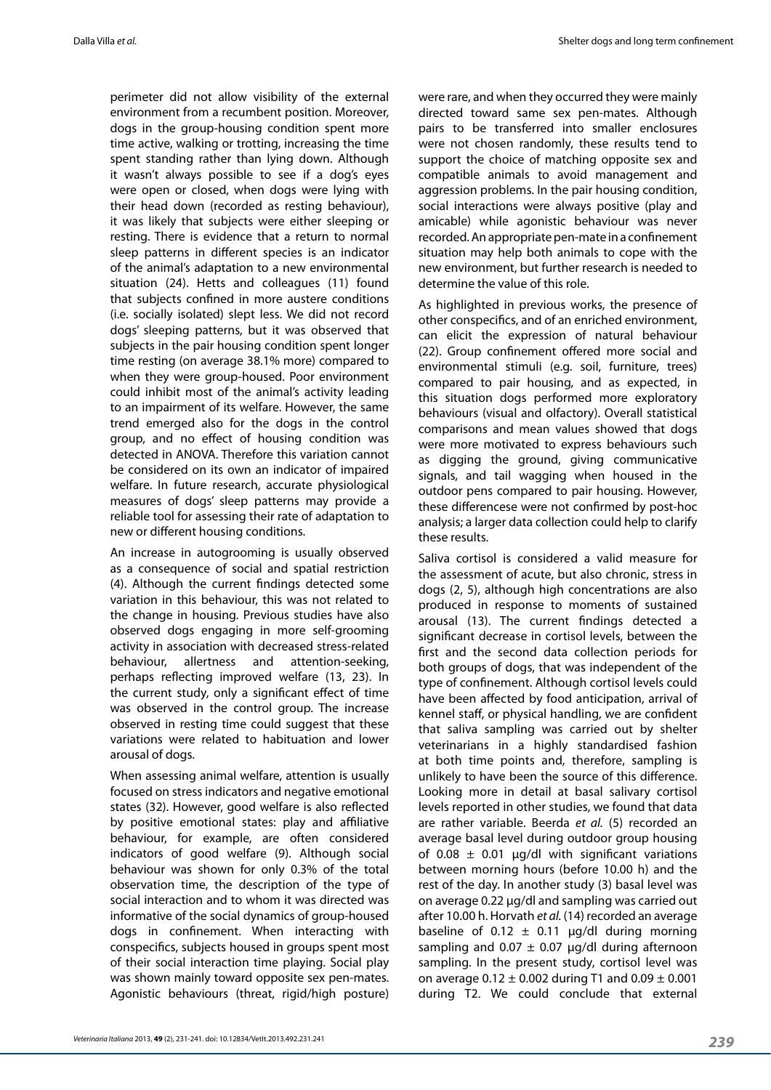perimeter did not allow visibility of the external environment from a recumbent position. Moreover, dogs in the group-housing condition spent more time active, walking or trotting, increasing the time spent standing rather than lying down. Although it wasn't always possible to see if a dog's eyes were open or closed, when dogs were lying with their head down (recorded as resting behaviour), it was likely that subjects were either sleeping or resting. There is evidence that a return to normal sleep patterns in different species is an indicator of the animal's adaptation to a new environmental situation (24). Hetts and colleagues (11) found that subjects confined in more austere conditions (i.e. socially isolated) slept less. We did not record dogs' sleeping patterns, but it was observed that subjects in the pair housing condition spent longer time resting (on average 38.1% more) compared to when they were group-housed. Poor environment could inhibit most of the animal's activity leading to an impairment of its welfare. However, the same trend emerged also for the dogs in the control group, and no effect of housing condition was detected in ANOVA. Therefore this variation cannot be considered on its own an indicator of impaired welfare. In future research, accurate physiological measures of dogs' sleep patterns may provide a reliable tool for assessing their rate of adaptation to new or different housing conditions.

An increase in autogrooming is usually observed as a consequence of social and spatial restriction (4). Although the current findings detected some variation in this behaviour, this was not related to the change in housing. Previous studies have also observed dogs engaging in more self-grooming activity in association with decreased stress-related behaviour, allertness and attention-seeking, perhaps reflecting improved welfare (13, 23). In the current study, only a significant effect of time was observed in the control group. The increase observed in resting time could suggest that these variations were related to habituation and lower arousal of dogs.

When assessing animal welfare, attention is usually focused on stress indicators and negative emotional states (32). However, good welfare is also reflected by positive emotional states: play and affiliative behaviour, for example, are often considered indicators of good welfare (9). Although social behaviour was shown for only 0.3% of the total observation time, the description of the type of social interaction and to whom it was directed was informative of the social dynamics of group-housed dogs in confinement. When interacting with conspecifics, subjects housed in groups spent most of their social interaction time playing. Social play was shown mainly toward opposite sex pen-mates. Agonistic behaviours (threat, rigid/high posture)

were rare, and when they occurred they were mainly directed toward same sex pen-mates. Although pairs to be transferred into smaller enclosures were not chosen randomly, these results tend to support the choice of matching opposite sex and compatible animals to avoid management and aggression problems. In the pair housing condition, social interactions were always positive (play and amicable) while agonistic behaviour was never recorded. An appropriate pen-mate in a confinement situation may help both animals to cope with the new environment, but further research is needed to determine the value of this role.

As highlighted in previous works, the presence of other conspecifics, and of an enriched environment, can elicit the expression of natural behaviour (22). Group confinement offered more social and environmental stimuli (e.g. soil, furniture, trees) compared to pair housing, and as expected, in this situation dogs performed more exploratory behaviours (visual and olfactory). Overall statistical comparisons and mean values showed that dogs were more motivated to express behaviours such as digging the ground, giving communicative signals, and tail wagging when housed in the outdoor pens compared to pair housing. However, these differencese were not confirmed by post-hoc analysis; a larger data collection could help to clarify these results.

Saliva cortisol is considered a valid measure for the assessment of acute, but also chronic, stress in dogs (2, 5), although high concentrations are also produced in response to moments of sustained arousal (13). The current findings detected a significant decrease in cortisol levels, between the first and the second data collection periods for both groups of dogs, that was independent of the type of confinement. Although cortisol levels could have been affected by food anticipation, arrival of kennel staff, or physical handling, we are confident that saliva sampling was carried out by shelter veterinarians in a highly standardised fashion at both time points and, therefore, sampling is unlikely to have been the source of this difference. Looking more in detail at basal salivary cortisol levels reported in other studies, we found that data are rather variable. Beerda *et al.* (5) recorded an average basal level during outdoor group housing of 0.08  $\pm$  0.01  $\mu$ g/dl with significant variations between morning hours (before 10.00 h) and the rest of the day. In another study (3) basal level was on average 0.22 µg/dl and sampling was carried out after 10.00 h. Horvath *et al.* (14) recorded an average baseline of 0.12  $\pm$  0.11  $\mu$ g/dl during morning sampling and  $0.07 \pm 0.07$   $\mu$ g/dl during afternoon sampling. In the present study, cortisol level was on average  $0.12 \pm 0.002$  during T1 and  $0.09 \pm 0.001$ during T2. We could conclude that external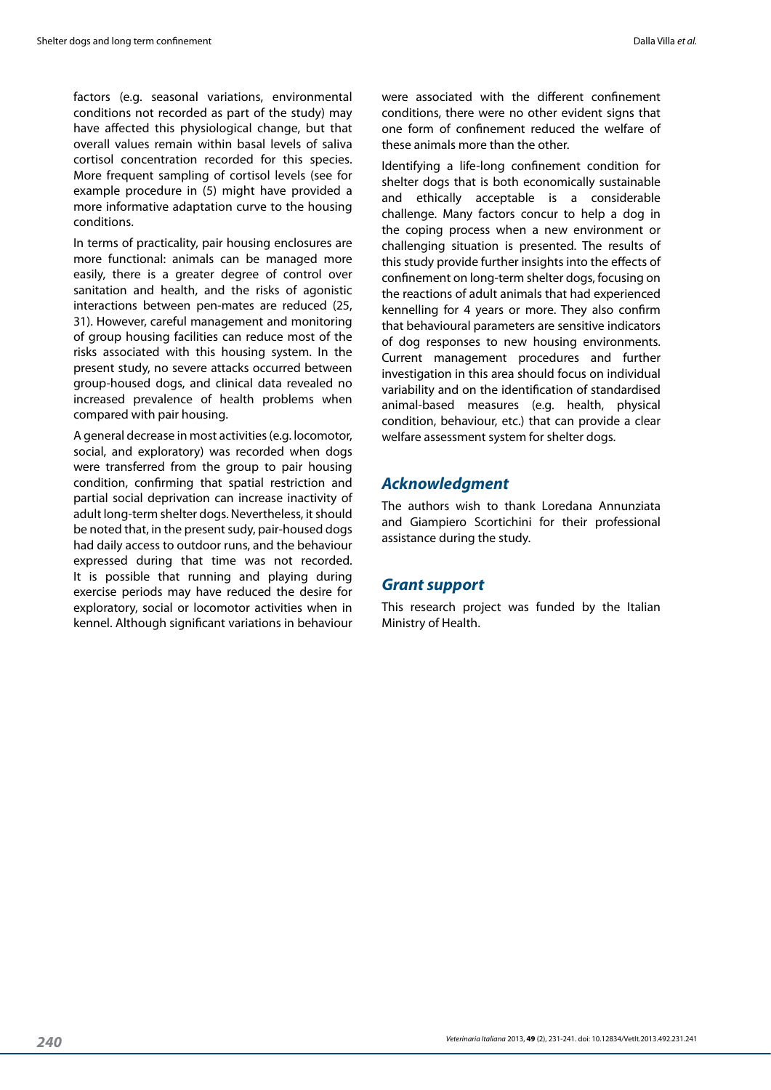factors (e.g. seasonal variations, environmental conditions not recorded as part of the study) may have affected this physiological change, but that overall values remain within basal levels of saliva cortisol concentration recorded for this species. More frequent sampling of cortisol levels (see for example procedure in (5) might have provided a more informative adaptation curve to the housing conditions.

In terms of practicality, pair housing enclosures are more functional: animals can be managed more easily, there is a greater degree of control over sanitation and health, and the risks of agonistic interactions between pen-mates are reduced (25, 31). However, careful management and monitoring of group housing facilities can reduce most of the risks associated with this housing system. In the present study, no severe attacks occurred between group-housed dogs, and clinical data revealed no increased prevalence of health problems when compared with pair housing.

A general decrease in most activities (e.g. locomotor, social, and exploratory) was recorded when dogs were transferred from the group to pair housing condition, confirming that spatial restriction and partial social deprivation can increase inactivity of adult long-term shelter dogs. Nevertheless, it should be noted that, in the present sudy, pair-housed dogs had daily access to outdoor runs, and the behaviour expressed during that time was not recorded. It is possible that running and playing during exercise periods may have reduced the desire for exploratory, social or locomotor activities when in kennel. Although significant variations in behaviour

were associated with the different confinement conditions, there were no other evident signs that one form of confinement reduced the welfare of these animals more than the other.

Identifying a life-long confinement condition for shelter dogs that is both economically sustainable and ethically acceptable is a considerable challenge. Many factors concur to help a dog in the coping process when a new environment or challenging situation is presented. The results of this study provide further insights into the effects of confinement on long-term shelter dogs, focusing on the reactions of adult animals that had experienced kennelling for 4 years or more. They also confirm that behavioural parameters are sensitive indicators of dog responses to new housing environments. Current management procedures and further investigation in this area should focus on individual variability and on the identification of standardised animal-based measures (e.g. health, physical condition, behaviour, etc.) that can provide a clear welfare assessment system for shelter dogs.

## *Acknowledgment*

The authors wish to thank Loredana Annunziata and Giampiero Scortichini for their professional assistance during the study.

## *Grant support*

This research project was funded by the Italian Ministry of Health.